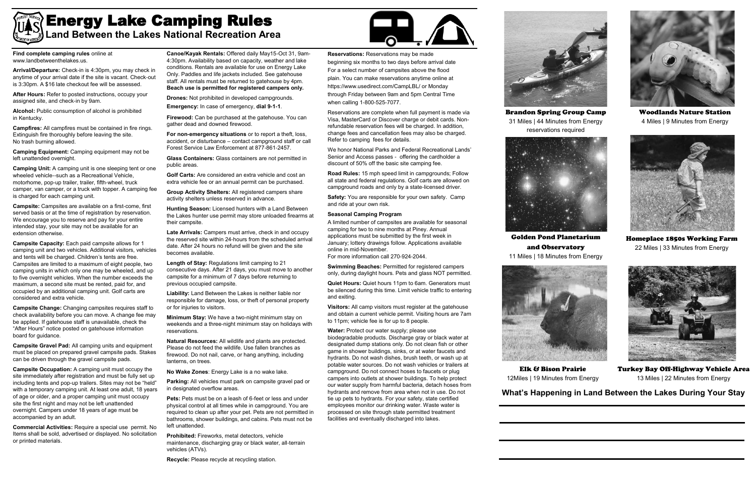**Find complete camping rules** online at www.landbetweenthelakes.us.

**Arrival/Departure:** Check-in is 4:30pm, you may check in anytime of your arrival date if the site is vacant. Check-out is 3:30pm. A \$16 late checkout fee will be assessed.

After Hours: Refer to posted instructions, occupy your assigned site, and check-in by 9am.

**Alcohol:** Public consumption of alcohol is prohibited in Kentucky.

**Campfires:** All campfires must be contained in fire rings. Extinguish fire thoroughly before leaving the site. No trash burning allowed.

**Camping Equipment:** Camping equipment may not be left unattended overnight.

**Camping Unit:** A camping unit is one sleeping tent or one wheeled vehicle--such as a Recreational Vehicle, motorhome, pop-up trailer, trailer, fifth-wheel, truck camper, van camper, or a truck with topper. A camping fee is charged for each camping unit.

**Campsite:** Campsites are available on a first-come, first served basis or at the time of registration by reservation. We encourage you to reserve and pay for your entire intended stay, your site may not be available for an extension otherwise.

**Campsite Capacity:** Each paid campsite allows for 1 camping unit and two vehicles. Additional visitors, vehicles and tents will be charged. Children's tents are free. Campsites are limited to a maximum of eight people, two camping units in which only one may be wheeled, and up to five overnight vehicles. When the number exceeds the maximum, a second site must be rented, paid for, and occupied by an additional camping unit. Golf carts are considered and extra vehicle.

**Campsite Change:** Changing campsites requires staff to check availability before you can move. A change fee may be applied. If gatehouse staff is unavailable, check the "After Hours" notice posted on gatehouse information board for guidance.

**Campsite Gravel Pad:** All camping units and equipment must be placed on prepared gravel campsite pads. Stakes can be driven through the gravel campsite pads.

**Campsite Occupation:** A camping unit must occupy the site immediately after registration and must be fully set up including tents and pop-up trailers. Sites may not be "held" with a temporary camping unit. At least one adult, 18 years of age or older, and a proper camping unit must occupy site the first night and may not be left unattended overnight. Campers under 18 years of age must be accompanied by an adult.

**Commercial Activities:** Require a special use permit. No Items shall be sold, advertised or displayed. No solicitation or printed materials.

**Canoe/Kayak Rentals:** Offered daily May15-Oct 31, 9am-4:30pm. Availability based on capacity, weather and lake conditions. Rentals are available for use on Energy Lake Only. Paddles and life jackets included. See gatehouse staff. All rentals must be returned to gatehouse by 4pm. **Beach use is permitted for registered campers only.** 

**Drones:** Not prohibited in developed campgrounds.

**Emergency:** In case of emergency, **dial 9-1-1**.

**Firewood:** Can be purchased at the gatehouse. You can gather dead and downed firewood.

**For non-emergency situations** or to report a theft, loss, accident, or disturbance – contact campground staff or call Forest Service Law Enforcement at 877-861-2457.

**Glass Containers:** Glass containers are not permitted in public areas.

**Golf Carts:** Are considered an extra vehicle and cost an extra vehicle fee or an annual permit can be purchased.

**Group Activity Shelters:** All registered campers share activity shelters unless reserved in advance.

**Hunting Season:** Licensed hunters with a Land Between the Lakes hunter use permit may store unloaded firearms at their campsite.

**Late Arrivals:** Campers must arrive, check in and occupy the reserved site within 24-hours from the scheduled arrival date. After 24 hours no refund will be given and the site becomes available.

**Length of Stay:** Regulations limit camping to 21 consecutive days. After 21 days, you must move to another campsite for a minimum of 7 days before returning to previous occupied campsite.

**Liability:** Land Between the Lakes is neither liable nor responsible for damage, loss, or theft of personal property or for injuries to visitors.

**Minimum Stay:** We have a two-night minimum stay on weekends and a three-night minimum stay on holidays with reservations.

**Natural Resources:** All wildlife and plants are protected. Please do not feed the wildlife. Use fallen branches as firewood. Do not nail, carve, or hang anything, including lanterns, on trees.

**No Wake Zones**: Energy Lake is a no wake lake.

**Parking:** All vehicles must park on campsite gravel pad or in designated overflow areas.

**Pets:** Pets must be on a leash of 6-feet or less and under physical control at all times while in campground. You are required to clean up after your pet. Pets are not permitted in bathrooms, shower buildings, and cabins. Pets must not be left unattended.

**Prohibited:** Fireworks, metal detectors, vehicle maintenance, discharging gray or black water, all-terrain vehicles (ATVs).

**Recycle:** Please recycle at recycling station.



**Reservations:** Reservations may be made beginning six months to two days before arrival date For a select number of campsites above the flood plain. You can make reservations anytime online at https://www.usedirect.com/CampLBL/ or Monday through Friday between 9am and 5pm Central Time when calling 1-800-525-7077.

Reservations are complete when full payment is made via Visa, MasterCard or Discover charge or debit cards. Nonrefundable reservation fees will be charged. In addition, change fees and cancellation fees may also be charged. Refer to camping fees for details.

We honor National Parks and Federal Recreational Lands' Senior and Access passes - offering the cardholder a discount of 50% off the basic site camping fee.

**Road Rules:** 15 mph speed limit in campgrounds; Follow all state and federal regulations. Golf carts are allowed on campground roads and only by a state-licensed driver.

**Safety:** You are responsible for your own safety. Camp and ride at your own risk.

## **Seasonal Camping Program**

A limited number of campsites are available for seasonal camping for two to nine months at Piney. Annual applications must be submitted by the first week in January; lottery drawings follow. Applications available online in mid-November. For more information call 270-924-2044.

**Swimming Beaches:** Permitted for registered campers only, during daylight hours. Pets and glass NOT permitted.

**Quiet Hours:** Quiet hours 11pm to 6am. Generators must be silenced during this time. Limit vehicle traffic to entering and exiting.

**Visitors:** All camp visitors must register at the gatehouse and obtain a current vehicle permit. Visiting hours are 7am to 11pm; vehicle fee is for up to 8 people.

**Water:** Protect our water supply; please use biodegradable products. Discharge gray or black water at designated dump stations only. Do not clean fish or other game in shower buildings, sinks, or at water faucets and hydrants. Do not wash dishes, brush teeth, or wash up at potable water sources. Do not wash vehicles or trailers at campground. Do not connect hoses to faucets or plug campers into outlets at shower buildings. To help protect our water supply from harmful bacteria, detach hoses from hydrants and remove from area when not in use. Do not tie up pets to hydrants. For your safety, state certified employees monitor our drinking water. Waste water is processed on site through state permitted treatment facilities and eventually discharged into lakes.



## Energy Lake Camping Rules **Land Between the Lakes National Recreation Area**



Brandon Spring Group Camp 31 Miles | 44 Minutes from Energy reservations required





Woodlands Nature Station 4 Miles | 9 Minutes from Energy



Homeplace 1850s Working Farm 22 Miles | 33 Minutes from Energy

Golden Pond Planetarium and Observatory 11 Miles | 18 Minutes from Energy



Elk & Bison Prairie 12Miles | 19 Minutes from Energy



Turkey Bay Off-Highway Vehicle Area 13 Miles | 22 Minutes from Energy

**What's Happening in Land Between the Lakes During Your Stay**